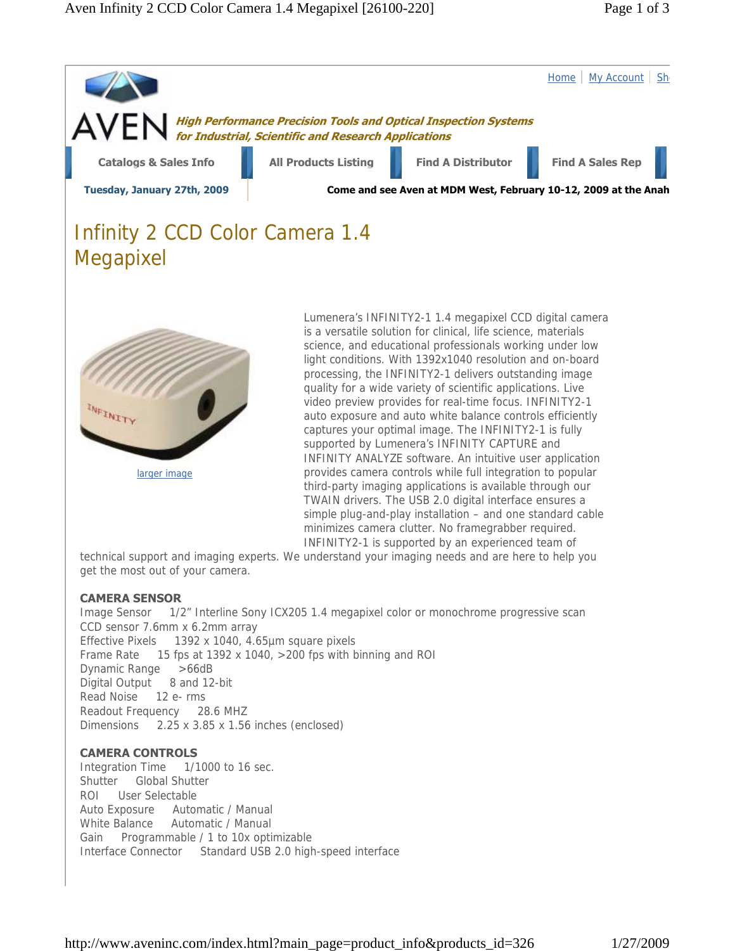



larger image

is a versatile solution for clinical, life science, materials science, and educational professionals working under low light conditions. With 1392x1040 resolution and on-board processing, the INFINITY2-1 delivers outstanding image quality for a wide variety of scientific applications. Live video preview provides for real-time focus. INFINITY2-1 auto exposure and auto white balance controls efficiently captures your optimal image. The INFINITY2-1 is fully supported by Lumenera's INFINITY CAPTURE and INFINITY ANALYZE software. An intuitive user application provides camera controls while full integration to popular third-party imaging applications is available through our TWAIN drivers. The USB 2.0 digital interface ensures a simple plug-and-play installation – and one standard cable minimizes camera clutter. No framegrabber required. INFINITY2-1 is supported by an experienced team of

technical support and imaging experts. We understand your imaging needs and are here to help you get the most out of your camera.

## **CAMERA SENSOR**

Image Sensor 1/2" Interline Sony ICX205 1.4 megapixel color or monochrome progressive scan CCD sensor 7.6mm x 6.2mm array Effective Pixels 1392 x 1040, 4.65µm square pixels Frame Rate 15 fps at 1392 x 1040, >200 fps with binning and ROI Dynamic Range >66dB Digital Output 8 and 12-bit Read Noise 12 e- rms Readout Frequency 28.6 MHZ Dimensions 2.25 x 3.85 x 1.56 inches (enclosed)

## **CAMERA CONTROLS**

Integration Time 1/1000 to 16 sec. Shutter Global Shutter ROI User Selectable Auto Exposure Automatic / Manual White Balance Automatic / Manual Gain Programmable / 1 to 10x optimizable Interface Connector Standard USB 2.0 high-speed interface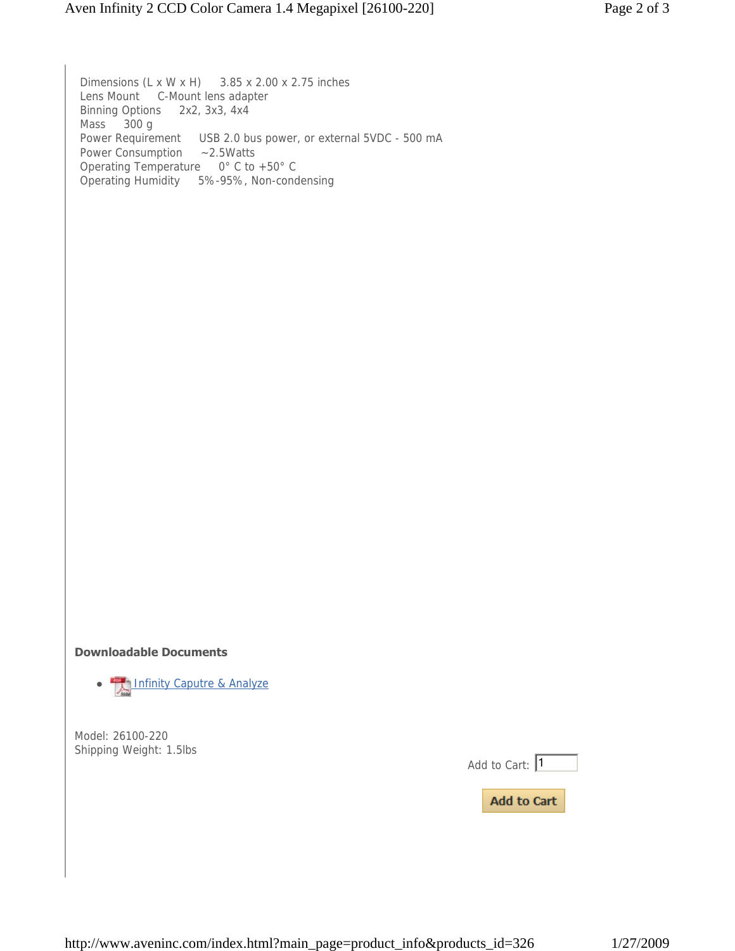Dimensions (L x W x H) 3.85 x 2.00 x 2.75 inches Lens Mount C-Mount lens adapter Binning Options 2x2, 3x3, 4x4 Mass 300 g Power Requirement USB 2.0 bus power, or external 5VDC - 500 mA Power Consumption ~2.5Watts Operating Temperature 0° C to +50° C Operating Humidity 5%-95%, Non-condensing **Downloadable Documents • The Infinity Caputre & Analyze** Model: 26100-220 Shipping Weight: 1.5lbs

Add to Cart:  $\sqrt{1}$ 

**Add to Cart**